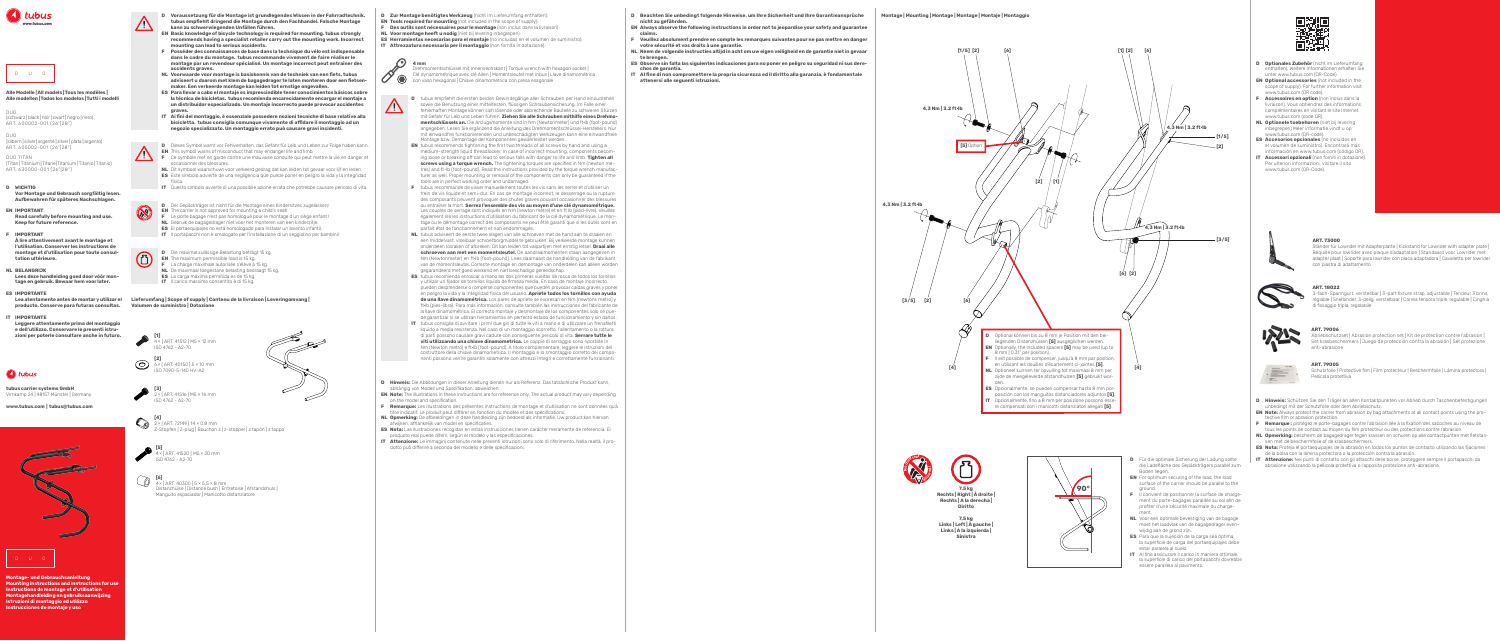

- **D Optionales Zubehör** (nicht im Lieferumfang enthalten). Weitere Informationen erhalten Sie unter www.tubus.com (QR-Code).
- **EN Optional accessories** (not included in the scope of supply). For further information visit www.tubus.com (QR code).
- **F Accessoires en option** (non inclus dans la livraison). Vous obtiendrez des informations complémentaires en visitant le site Internet www.tubus.com (code QR).
- **NL Optionele toebehoren** (niet bij levering inbegrepen) Meer informatie vindt u op www.tubus.com (QR-code).
- **ES Accesorios opcionales** (no incluidos en el volumen de suministro). Encontrará más
- información en www.tubus.com (código QR). **IT** Accessori opzionali (non forniti in dotazione). Per ulteriori informazioni, visitare il sito www.tubus.com (QR-Code).





**7,5 kg Links | Left | À gauche | Links | A la izquierda | Sinistra**

## **Alle Modelle |All models |Tous les modèles | Alle modellen|Todos los modelos |Tutti i modelli**

DUO (schwarz | black | noir| zwart| negro | nero) ART. 600002-001 (26"|28")

DUO (silbern | silver| argenté | zilver| plata | argento) ART. 605002-001 (26"|28")

DUO TITAN (Titan |Titanium |Titane|Titanium |Titanio |Titanio) ART. 630000-001 (26"|28")

Drehmomentschlüssel mit Innensechskant | Torque wrench with hexagon socket | Clé dynamométrique avec clé Allen | Momentsleutel met inbus | Llave dinamométrica

con vaso hexagonal | Chiave dinamometrica con presa esagonale

## **ART. 79006**

Abriebschutzset | Abrasion protection set | Kit de protection contre l'abrasion | Set krasbeschermers | Juego de protección contra la abrasión | Set protezione anti-abrasione

#### **ART. 79005**

Schutzfolie | Protective film | Film protecteur | Beschermfolie | Lámina protectora | Pellicola protettiva

**Montage | Mounting | Montage | Montage | Montaje | Montaggio**

## **ART. 18022**

- den. **ES** Opcionalmente, se pueden compensar hasta 8 mm porposición con los manguitos distanciadores adjuntos **[5]**. **IT** Opzionalmente, fino a 8 mm per posizione possono essere compensati con i manicotti distanziatori allegati **[5]**.
- 
- **Diritto**
	-

3-fach-Spanngurt, verstellbar | 3-part fixture strap, adjustable | Tendeur 3 brins, réglable | Snelbinder, 3-delig, verstelbaar | Correa tensora triple, regulable | Cinghia di fissaggio tripla, regolabile



## **ART. 73000**

Ständer für Lowrider mit Adapterplatte | Kickstand for Lowrider with adapter plate | Béquille pour lowrider avec plaque d'adaptation | Standaard voor Lowrider met adapter plaat | Soporte para lowrider con placa adaptadora | Cavalletto per lowrider con piastra di adattamento





















**D** Zur Montage benötigtes Werkzeug (nicht im Lieferumfang enthalten): **EN Tools required for mounting** (not included in the scope of supply): **F** Des outils sont nécessaires pour le montage (non inclus dans la livraison):



**[6]**  4× | ART. 40300 | 5 × 5,5 × 8 mm Distanzhülse | Distance bush | Entretoise | Afstandshuls | Manguito espaciador | Manicotto distanziatore



 $\left( \bullet \right)$  4 mm **IT Attrezzatura necessaria per il montaggio** (non fornita in dotazione):







Z-Stopfen | Z-plug | Bouchon z | z-stopper | z tapón | z tappo











- **D** tubus empfiehlt die ersten beiden Gewindegänge aller Schrauben per Hand einzudrehen
- **EN** tubus recommends tightening the first two threads of all screws by hand and using a medium-strength liquid threadlocker. In case of incorrect mounting, components becoming loose or breaking off can lead to serious falls with danger to life and limb. **Tighten all**
- **screws using a torque wrench.** The tightening torques are specified in Nm (newton metres) and ft-lb (foot-pound). Read the instructions provided by the torque wrench manufacturer as well. Proper mounting or removal of the components can only be guaranteed if the



**[5]**  4× | ART. 41520 | M5 × 20 mm ISO 4762 - A2-70







**IMPORTANT À lire attentivement avant le montage et l'utilisation. Conserver les instructions de montage et d'utilisation pour toute consultation ultérieure.**

**tubus carrier systems GmbH**  Virnkamp 24 | 48157 Münster | Germany

**www.tubus.com | tubus@tubus.com**





#### **D WICHTIG Vor Montage und Gebrauch sorgfältig lesen. Aufbewahren für späteres Nachschlagen.**

**D** Der Gepäckträger ist nicht für die Montage eines Kindersitzes zugelassen! **EN** The carrier is not approved for mounting a child's seat! **F** Le porte bagage n'est pas homologué pour le montage d'un siège enfant !

**D Voraussetzung für die Montage ist grundlegendes Wissen in der Fahrradtechnik. tubus empfiehlt dringend die Montage durch den Fachhandel. Falsche Montage kann zu schwerwiegenden Unfällen führen.**

**EN IMPORTANT Read carefully before mounting and use. Keep for future reference.**

**EN Basic knowledge of bicycle technology is required for mounting. tubus strongly recommends having a specialist retailer carry out the mounting work. Incorrect mounting can lead to serious accidents.**

- **D** Für die optimale Sicherung der Ladung sollte die Ladefläche des Gepäckträgers parallel zum Boden liegen.
- **EN** For optimum securing of the load, the load surface of the carrier should be parallel to the ground.
- **F** Il convient de positionner la surface de chargement du porte-bagages parallèle au sol afin de profiter d'une sécurité maximale du chargement.
- **NL** Voor een optimale bevestiging van de bagage moet het laadvlak van de bagagedrager evenwijdig aan de grond zijn.
- **ES** Para que la sujeción de la carga sea óptima, la superficie de carga del portaequipajes debe estar paralela al suelo.
- **IT** Al fine assicurare il carico in maniera ottimale, la superficie di carico del portapacchi dovrebbe essere parallela al pavimento.





**Montage- und Gebrauchsanleitung Mounting instructions and instructions for use Instructions de montage et d'utilisation Montagehandleiding en gebruiksaanwijzing Instrucciones de montaje y uso Istruzioni di montaggio ed utilizzo**

- **F Posséder des connaissances de base dans la technique du vélo est indispensable dans le cadre du montage. tubus recommande vivement de faire réaliser le montage par un revendeur spécialisé. Un montage incorrect peut entraîner des accidents graves.**
- **NL Voorwaarde voor montage is basiskennis van de techniek van een fiets. tubus adviseert u daarom met klem de bagagedrager te laten monteren door een fietsenmaker. Een verkeerde montage kan leiden tot ernstige ongevallen.**
- **ES Para llevar a cabo el montaje es imprescindible tener conocimientos básicos sobre la técnica de bicicletas. tubus recomienda encarecidamente encargar el montaje a un distribuidor especializado. Un montaje incorrecto puede provocar accidentes graves.**
- **IT Ai fini del montaggio, è essenziale possedere nozioni tecniche di base relative alla bicicletta. tubus consiglia comunque vivamente di affidare il montaggio ad un negozio specializzato. Un montaggio errato può causare gravi incidenti.**
- **D** Dieses Symbol warnt vor Fehlverhalten, das Gefahr für Leib und Leben zur Folge haben kann. **EN** This symbol warns of misconduct that may endanger life and limb.
- **F** Ce symbole met en garde contre une mauvaise conduite qui peut mettre la vie en danger et occasionner des blessures. **NL** Dit symbool waarschuwt voor verkeerd gedrag dat kan leiden tot gevaar voor lijf en leden.
- **ES** Este símbolo advierte de una negligencia que puede poner en peligro la vida y la integridad física.
- sowie die Benutzung einer mittelfesten, flüssigen Schraubensicherung. Im Falle einer fehlerhaften Montage können sich lösende oder abbrechende Bauteile zu schweren Stürzen mit Gefahr für Leib und Leben führen. **Ziehen Sie alle Schrauben mithilfe eines Drehmomentschlüssels an.** Die Anzugsmomente sind in Nm (Newtonmeter) und ft·lb (foot-pound) angegeben. Lesen Sie ergänzend die Anleitung des Drehmomentschlüssel-Herstellers. Nur mit einwandfrei funktionierenden und unbeschädigten Werkzeugen kann eine einwandfreie Montage bzw. Demontage der Komponenten gewährleistet werden.
- 
- tools are in perfect working order and undamaged. **F** tubus recommande de visser manuellement toutes les vis sans les serrer et d'utiliser un frein de vis liquide et semi-dur. En cas de montage incorrect, le desserrage ou la rupture des composants peuvent provoquer des chutes graves pouvant occasionner des blessures ou entraîner la mort. **Serrez l'ensemble des vis au moyen d'une clé dynamométrique.** Les couples de serrage sont indiqués en Nm (newton mètre) et en ft lb (pied-livre). Veuillez également lire les instructions d'utilisation du fabricant de la clé dynamométrique. Le montage ou le démontage correct des composants ne peut être garanti que si les outils sont en parfait état de fonctionnement et non endommagés.
- **NL** tubus adviseert de eerste twee slagen van alle schroeven met de hand aan te draaien en een middelvast, vloeibaar schroefborgmiddel te gebruiken. Bij verkeerde montage kunnen onderdelen losraken of afbreken. Dit kan leiden tot valpartijen met ernstig letsel. **Draai alle schroeven aan met een momentsleutel.** De aandraaimomenten staan aangegeven in Nm (Newtonmeter) en ft·lb (foot-pound). Lees daarnaast de handleiding van de fabrikant van de momentsleutel. Correcte montage en demontage van onderdelen kan alleen worden gegarandeerd met goed werkend en niet beschadigd gereedschap.
- **ES** tubus recomienda enroscar a mano las dos primeras vueltas de rosca de todos los tornillos y utilizar un fijador de tornillos líquido de firmeza media. En caso de montaje incorrecto, pueden desprenderse o romperse componentes que pueden provocar caídas graves y poner en peligro la vida y la integridad física del usuario. **Apriete todos los tornillos con ayuda de una llave dinamométrica.** Los pares de apriete se expresan en Nm (newtons metro) y ft·lb (pies-libra). Para más información, consulte también las instrucciones del fabricante de la llave dinamométrica. El correcto montaje y desmontaje de los componentes solo se puede garantizar si se utilizan herramientas en perfecto estado de funcionamiento y sin daños. **IT** tubus consiglia di avvitare i primi due giri di tutte le viti a mano e di utilizzare un frenafiletti liquido a media resistenza. Nel caso di un montaggio scorretto, l'allentamento o la rottura di parti possono causare gravi cadute con conseguente pericolo di vita. **Serrare tutte le viti utilizzando una chiave dinamometrica.** Le coppie di serraggio sono riportate in Nm (Newton metro) e ft·lb (foot-pound). A titolo complementare, leggere le istruzioni del
- costruttore della chiave dinamometrica. Il montaggio e lo smontaggio corretto dei componenti possono venire garantiti solamente con attrezzi integri e correttamente funzionanti.
- **D Hinweis:** Die Abbildungen in dieser Anleitung dienen nur als Referenz. Das tatsächliche Produkt kann, abhängig von Modell und Spezifikation, abweichen. **EN Note:** The illustrations in these instructions are for reference only. The actual product may vary depending
- on the model and specification. **F Remarque:** Les illustrations des présentes instructions de montage et d'utilisation ne sont données qu'à
- titre indicatif. Le produit peut différer en fonction du modèle et des spécifications. **NL Opmerking:** De afbeeldingen in deze handleiding zijn bedoeld als informatie. Uw product kan hiervan afwijken, afhankelijk van model en specificaties.
- **ES Nota:** Las ilustraciones recogidas en estas instrucciones tienen carácter meramente de referencia. El producto real puede diferir, según el modelo y las especificaciones.
- **IT Attenzione:** Le immagini contenute nelle presenti istruzioni sono solo di riferimento. Nella realtà, il prodotto può differire a seconda del modello e delle specificazioni.
- **D Beachten Sie unbedingt folgende Hinweise, um Ihre Sicherheit und Ihre Garantieansprüche**
- **nicht zu gefährden. EN Always observe the following instructions in order not to jeopardise your safety and guarantee claims.**
- **F Veuillez absolument prendre en compte les remarques suivantes pour ne pas mettre en danger votre sécurité et vos droits à une garantie.**
- **NL Neem de volgende instructies altijd in acht om uw eigen veiligheid en de garantie niet in gevaar te brengen.**
- **ES Observe sin falta las siguientes indicaciones para no poner en peligro su seguridad ni sus derechos de garantía.**
- **IT Al fine di non compromettere la propria sicurezza ed il diritto alla garanzia, è fondamentale attenersi alle seguenti istruzioni.**

- **D Hinweis:** Schützen Sie den Träger an allen Kontaktpunkten vor Abrieb durch Taschenbefestigungen unbedingt mit der Schutzfolie oder dem Abriebschutz.
- **EN Note:** Always protect the carrier from abrasion by bag attachments at all contact points using the protective film or abrasion protection.
- **F Remarque :** protégez le porte-bagages contre l'abrasion liée à la fixation des sacoches au niveau de tous les points de contact au moyen du film protecteur ou des protections contre l'abrasion.
- **NL Opmerking:** bescherm de bagagedrager tegen krassen en schuren op alle contactpunten met fietstassen met de beschermfolie of de krasbeschermers.
- **ES Nota:** Proteja el portaequipajes de la abrasión en todos los puntos de contacto utilizando las fijaciones de la bolsa con la lámina protectora o la protección contra la abrasión.
- **IT Attenzione:** Nei punti di contatto con gli attacchi delle borse, proteggere sempre il portapacchi da abrasione utilizzando la pellicola protettiva o l'apposita protezione anti-abrasione.

- **NL Voor montage heeft u nodig** (niet bij levering inbegrepen): **ES Herramientas necesarias para el montaje** (no incluidas en el volumen de suministro):
	-

- **NL BELANGRIJK Lees deze handleiding goed door vóór montage en gebruik. Bewaar hem voor later.**
- **ES IMPORTANTE**
- **IMPORTANTE Leggere attentamente prima del montaggio e dell'utilizzo. Conservare le presenti istruzioni per poterle consultare anche in futuro.**



- **NL** Gebruik de bagagedrager niet voor het monteren van een kinderzitje.
- **ES** El portaequipajes no está homologado para instalar un asiento infantil. **IT** Il portapacchi non è omologato per l'installazione di un seggiolino per bambini!



**D** Die maximal zulässige Belastung beträgt 15 kg. **EN** The maximum permissible load is 15 kg. **F** La charge maximale autorisée s'élève à 15 kg. **NL** De maximaal toegestane belasting bedraagt 15 kg. **ES** La carga máxima permitida es de 15 kg. **IT** Il carico massimo consentito è di 15 kg.

Lea atentamente antes de montar y utilizar el Lieferumfang | Scope of supply | Contenu de la livraison | Leveringomvang | producto. Conserve para futuras consultas. Volumen de suministro | Dotazione

**IT** Questo simbolo avverte di una possibile azione errata che potrebbe causare pericolo di vita.